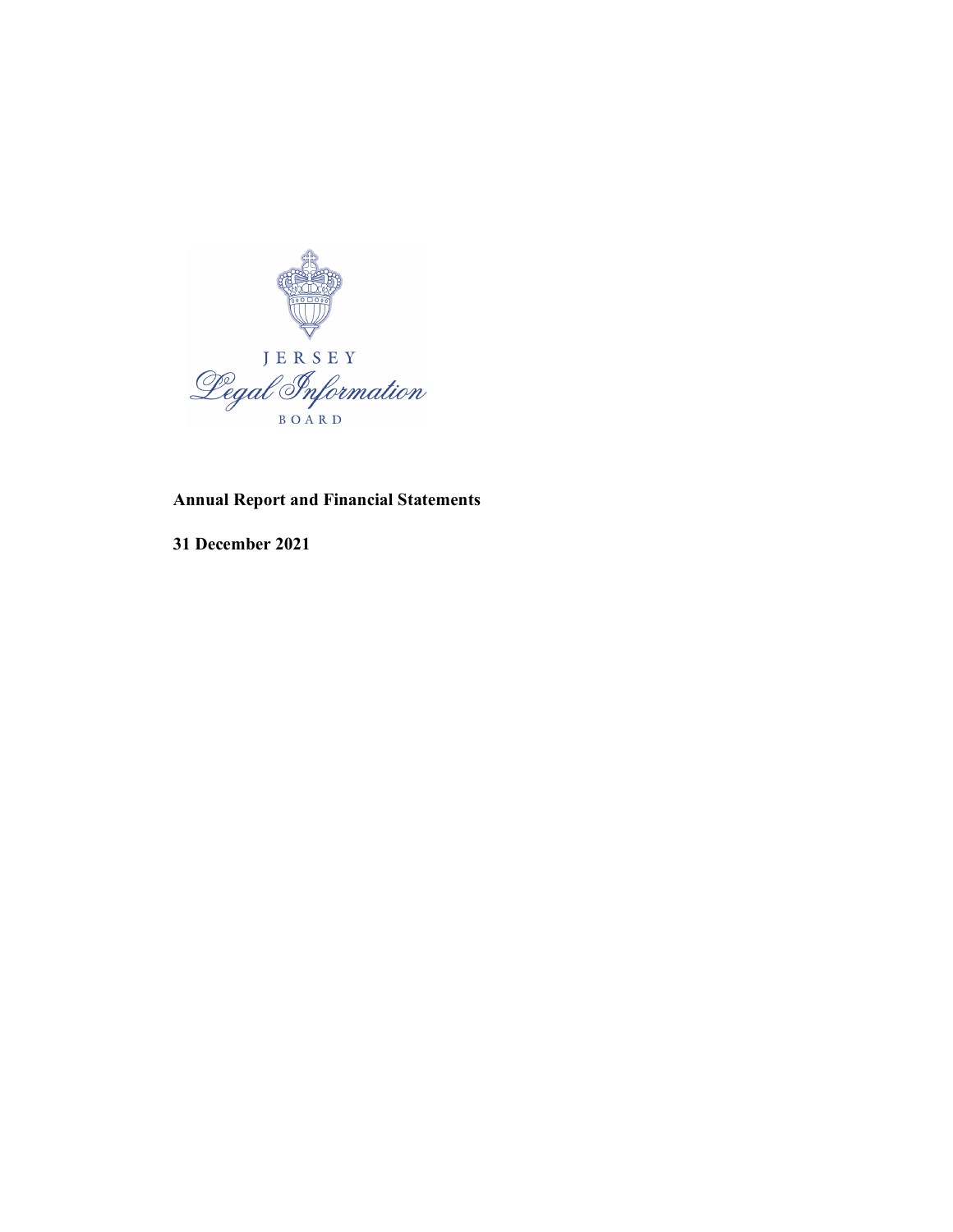

# Annual Report and Financial Statements

31 December 2021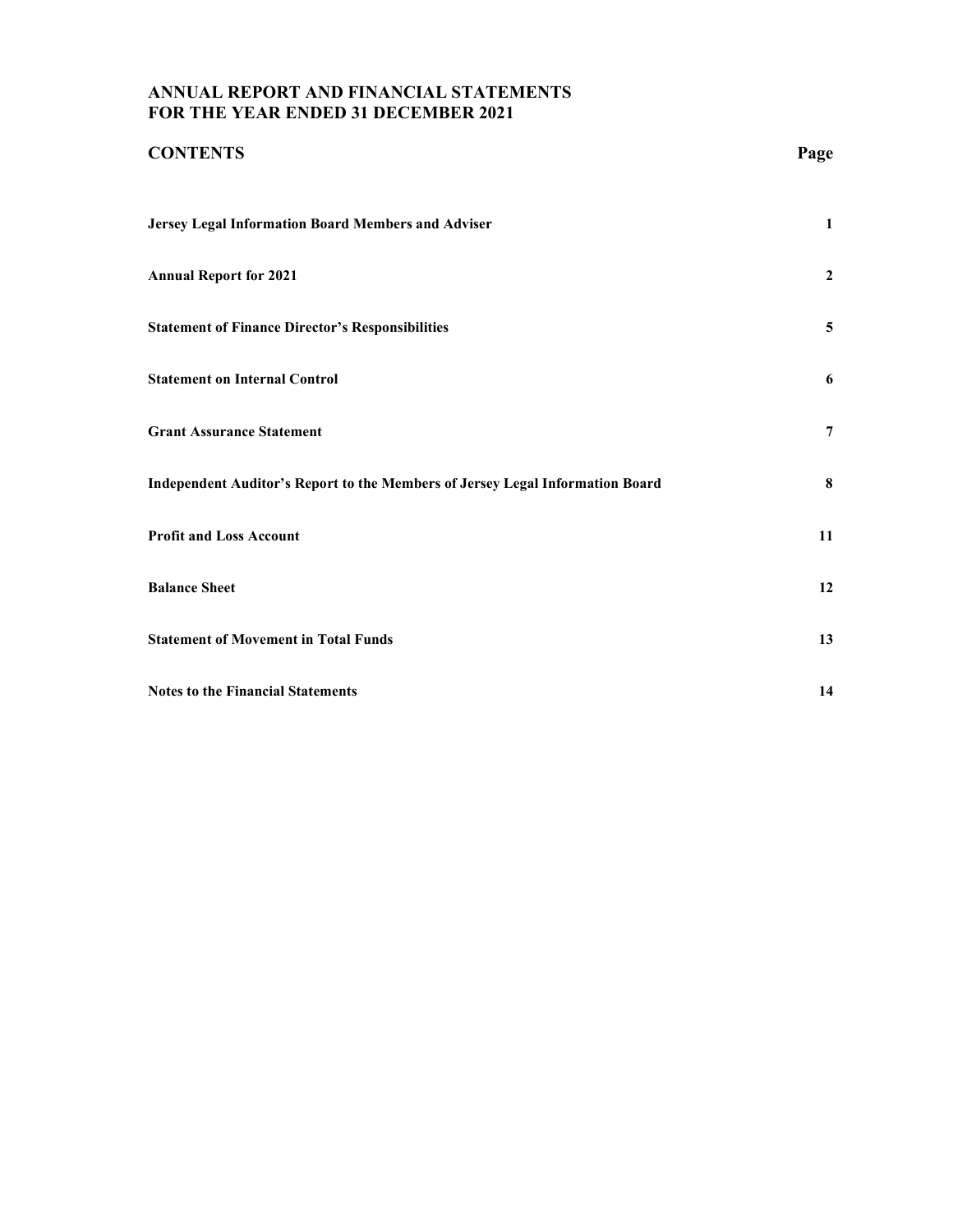# ANNUAL REPORT AND FINANCIAL STATEMENTS FOR THE YEAR ENDED 31 DECEMBER 2021

| <b>CONTENTS</b>                                                               | Page           |
|-------------------------------------------------------------------------------|----------------|
| Jersey Legal Information Board Members and Adviser                            | $\mathbf{1}$   |
| <b>Annual Report for 2021</b>                                                 | $\overline{2}$ |
| <b>Statement of Finance Director's Responsibilities</b>                       | 5              |
| <b>Statement on Internal Control</b>                                          | 6              |
| <b>Grant Assurance Statement</b>                                              | 7              |
| Independent Auditor's Report to the Members of Jersey Legal Information Board | 8              |
| <b>Profit and Loss Account</b>                                                | 11             |
| <b>Balance Sheet</b>                                                          | 12             |
| <b>Statement of Movement in Total Funds</b>                                   | 13             |
| <b>Notes to the Financial Statements</b>                                      | 14             |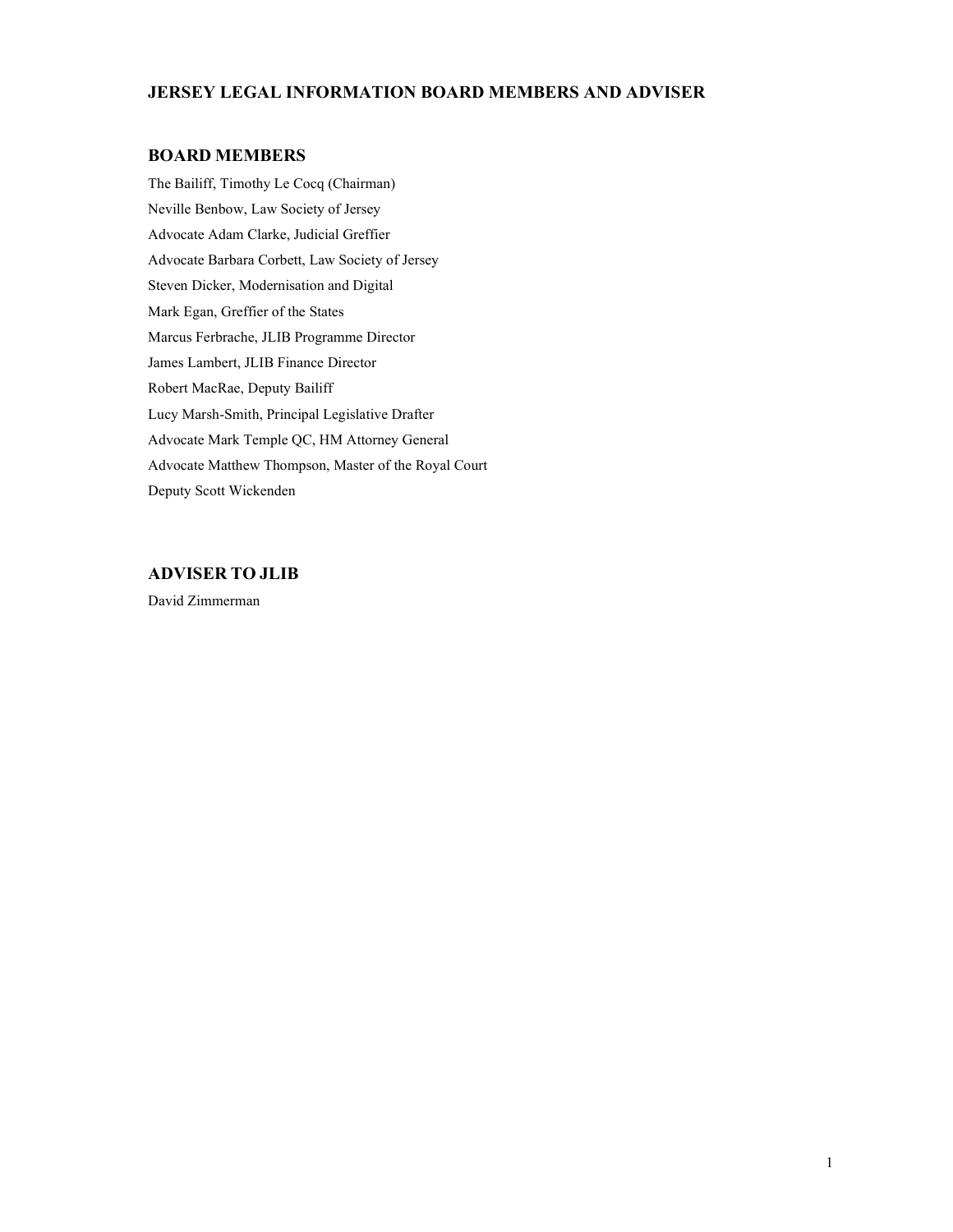## JERSEY LEGAL INFORMATION BOARD MEMBERS AND ADVISER

## BOARD MEMBERS

The Bailiff, Timothy Le Cocq (Chairman) Neville Benbow, Law Society of Jersey Advocate Adam Clarke, Judicial Greffier Advocate Barbara Corbett, Law Society of Jersey Steven Dicker, Modernisation and Digital Mark Egan, Greffier of the States Marcus Ferbrache, JLIB Programme Director James Lambert, JLIB Finance Director Robert MacRae, Deputy Bailiff Lucy Marsh-Smith, Principal Legislative Drafter Advocate Mark Temple QC, HM Attorney General Advocate Matthew Thompson, Master of the Royal Court Deputy Scott Wickenden

# ADVISER TO JLIB

David Zimmerman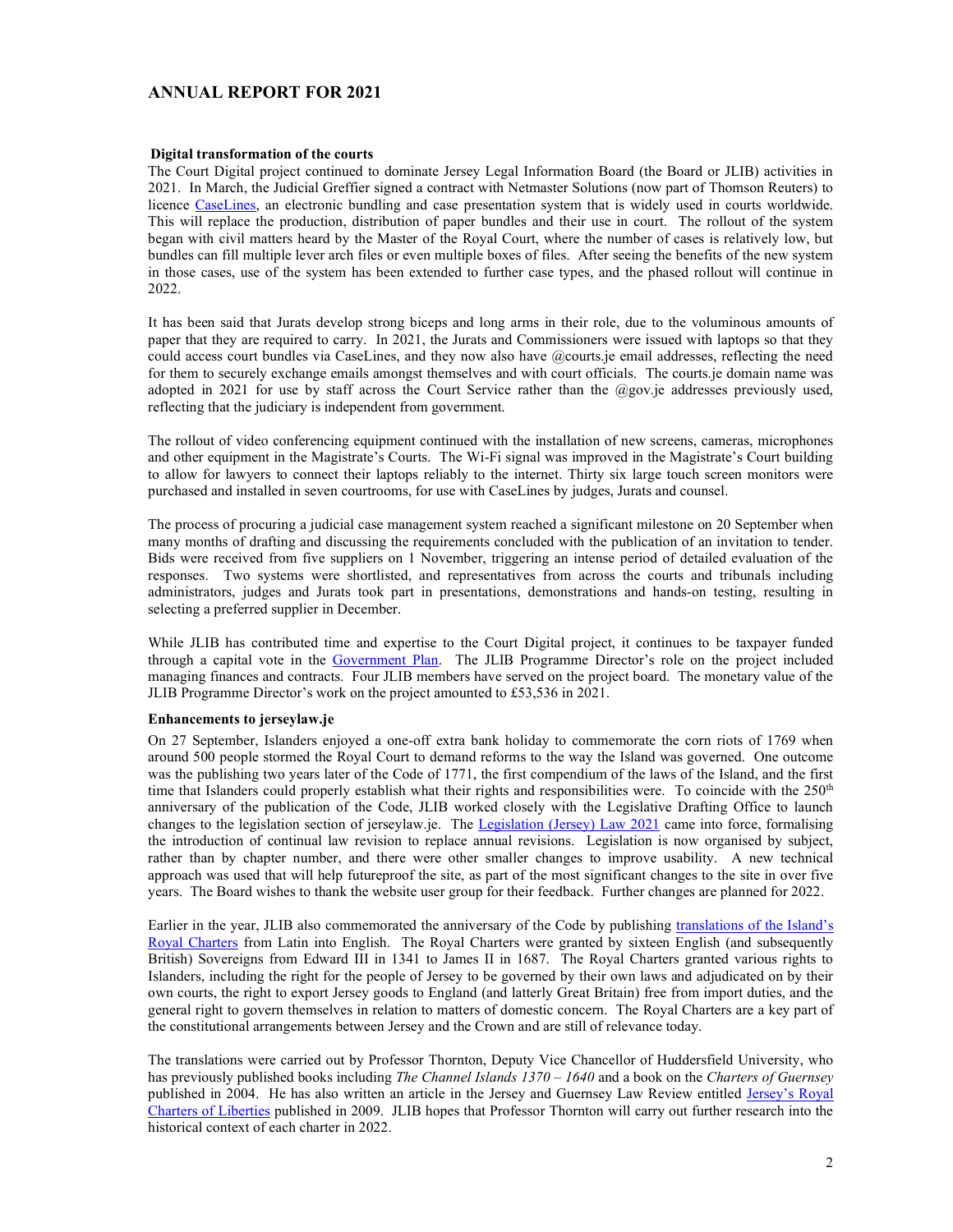## ANNUAL REPORT FOR 2021

#### Digital transformation of the courts

The Court Digital project continued to dominate Jersey Legal Information Board (the Board or JLIB) activities in 2021. In March, the Judicial Greffier signed a contract with Netmaster Solutions (now part of Thomson Reuters) to licence CaseLines, an electronic bundling and case presentation system that is widely used in courts worldwide. This will replace the production, distribution of paper bundles and their use in court. The rollout of the system began with civil matters heard by the Master of the Royal Court, where the number of cases is relatively low, but bundles can fill multiple lever arch files or even multiple boxes of files. After seeing the benefits of the new system in those cases, use of the system has been extended to further case types, and the phased rollout will continue in 2022.

It has been said that Jurats develop strong biceps and long arms in their role, due to the voluminous amounts of paper that they are required to carry. In 2021, the Jurats and Commissioners were issued with laptops so that they could access court bundles via CaseLines, and they now also have @courts.je email addresses, reflecting the need for them to securely exchange emails amongst themselves and with court officials. The courts.je domain name was adopted in 2021 for use by staff across the Court Service rather than the @gov.je addresses previously used, reflecting that the judiciary is independent from government.

The rollout of video conferencing equipment continued with the installation of new screens, cameras, microphones and other equipment in the Magistrate's Courts. The Wi-Fi signal was improved in the Magistrate's Court building to allow for lawyers to connect their laptops reliably to the internet. Thirty six large touch screen monitors were purchased and installed in seven courtrooms, for use with CaseLines by judges, Jurats and counsel.

The process of procuring a judicial case management system reached a significant milestone on 20 September when many months of drafting and discussing the requirements concluded with the publication of an invitation to tender. Bids were received from five suppliers on 1 November, triggering an intense period of detailed evaluation of the responses. Two systems were shortlisted, and representatives from across the courts and tribunals including administrators, judges and Jurats took part in presentations, demonstrations and hands-on testing, resulting in selecting a preferred supplier in December.

While JLIB has contributed time and expertise to the Court Digital project, it continues to be taxpayer funded through a capital vote in the Government Plan. The JLIB Programme Director's role on the project included managing finances and contracts. Four JLIB members have served on the project board. The monetary value of the JLIB Programme Director's work on the project amounted to £53,536 in 2021.

#### Enhancements to jerseylaw.je

On 27 September, Islanders enjoyed a one-off extra bank holiday to commemorate the corn riots of 1769 when around 500 people stormed the Royal Court to demand reforms to the way the Island was governed. One outcome was the publishing two years later of the Code of 1771, the first compendium of the laws of the Island, and the first time that Islanders could properly establish what their rights and responsibilities were. To coincide with the  $250<sup>th</sup>$ anniversary of the publication of the Code, JLIB worked closely with the Legislative Drafting Office to launch changes to the legislation section of jerseylaw.je. The Legislation (Jersey) Law 2021 came into force, formalising the introduction of continual law revision to replace annual revisions. Legislation is now organised by subject, rather than by chapter number, and there were other smaller changes to improve usability. A new technical approach was used that will help futureproof the site, as part of the most significant changes to the site in over five years. The Board wishes to thank the website user group for their feedback. Further changes are planned for 2022.

Earlier in the year, JLIB also commemorated the anniversary of the Code by publishing translations of the Island's Royal Charters from Latin into English. The Royal Charters were granted by sixteen English (and subsequently British) Sovereigns from Edward III in 1341 to James II in 1687. The Royal Charters granted various rights to Islanders, including the right for the people of Jersey to be governed by their own laws and adjudicated on by their own courts, the right to export Jersey goods to England (and latterly Great Britain) free from import duties, and the general right to govern themselves in relation to matters of domestic concern. The Royal Charters are a key part of the constitutional arrangements between Jersey and the Crown and are still of relevance today.

The translations were carried out by Professor Thornton, Deputy Vice Chancellor of Huddersfield University, who has previously published books including The Channel Islands 1370 – 1640 and a book on the Charters of Guernsey published in 2004. He has also written an article in the Jersey and Guernsey Law Review entitled Jersey's Royal Charters of Liberties published in 2009. JLIB hopes that Professor Thornton will carry out further research into the historical context of each charter in 2022.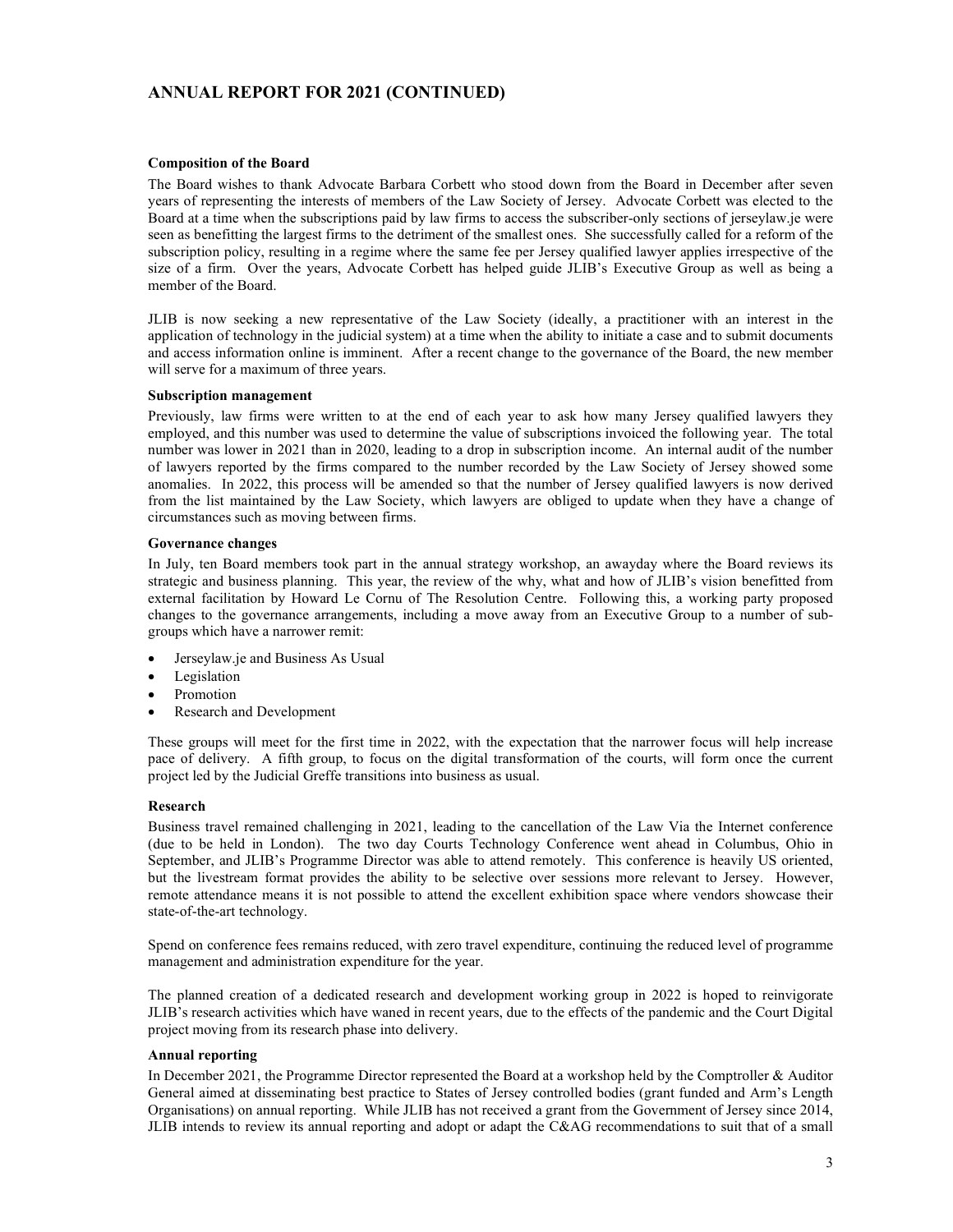## ANNUAL REPORT FOR 2021 (CONTINUED)

### Composition of the Board

The Board wishes to thank Advocate Barbara Corbett who stood down from the Board in December after seven years of representing the interests of members of the Law Society of Jersey. Advocate Corbett was elected to the Board at a time when the subscriptions paid by law firms to access the subscriber-only sections of jerseylaw.je were seen as benefitting the largest firms to the detriment of the smallest ones. She successfully called for a reform of the subscription policy, resulting in a regime where the same fee per Jersey qualified lawyer applies irrespective of the size of a firm. Over the years, Advocate Corbett has helped guide JLIB's Executive Group as well as being a member of the Board.

JLIB is now seeking a new representative of the Law Society (ideally, a practitioner with an interest in the application of technology in the judicial system) at a time when the ability to initiate a case and to submit documents and access information online is imminent. After a recent change to the governance of the Board, the new member will serve for a maximum of three years.

#### Subscription management

Previously, law firms were written to at the end of each year to ask how many Jersey qualified lawyers they employed, and this number was used to determine the value of subscriptions invoiced the following year. The total number was lower in 2021 than in 2020, leading to a drop in subscription income. An internal audit of the number of lawyers reported by the firms compared to the number recorded by the Law Society of Jersey showed some anomalies. In 2022, this process will be amended so that the number of Jersey qualified lawyers is now derived from the list maintained by the Law Society, which lawyers are obliged to update when they have a change of circumstances such as moving between firms.

#### Governance changes

In July, ten Board members took part in the annual strategy workshop, an awayday where the Board reviews its strategic and business planning. This year, the review of the why, what and how of JLIB's vision benefitted from external facilitation by Howard Le Cornu of The Resolution Centre. Following this, a working party proposed changes to the governance arrangements, including a move away from an Executive Group to a number of subgroups which have a narrower remit:

- Jerseylaw.je and Business As Usual
- Legislation
- Promotion
- Research and Development

These groups will meet for the first time in 2022, with the expectation that the narrower focus will help increase pace of delivery. A fifth group, to focus on the digital transformation of the courts, will form once the current project led by the Judicial Greffe transitions into business as usual.

### Research

Business travel remained challenging in 2021, leading to the cancellation of the Law Via the Internet conference (due to be held in London). The two day Courts Technology Conference went ahead in Columbus, Ohio in September, and JLIB's Programme Director was able to attend remotely. This conference is heavily US oriented, but the livestream format provides the ability to be selective over sessions more relevant to Jersey. However, remote attendance means it is not possible to attend the excellent exhibition space where vendors showcase their state-of-the-art technology.

Spend on conference fees remains reduced, with zero travel expenditure, continuing the reduced level of programme management and administration expenditure for the year.

The planned creation of a dedicated research and development working group in 2022 is hoped to reinvigorate JLIB's research activities which have waned in recent years, due to the effects of the pandemic and the Court Digital project moving from its research phase into delivery.

### Annual reporting

In December 2021, the Programme Director represented the Board at a workshop held by the Comptroller & Auditor General aimed at disseminating best practice to States of Jersey controlled bodies (grant funded and Arm's Length Organisations) on annual reporting. While JLIB has not received a grant from the Government of Jersey since 2014, JLIB intends to review its annual reporting and adopt or adapt the C&AG recommendations to suit that of a small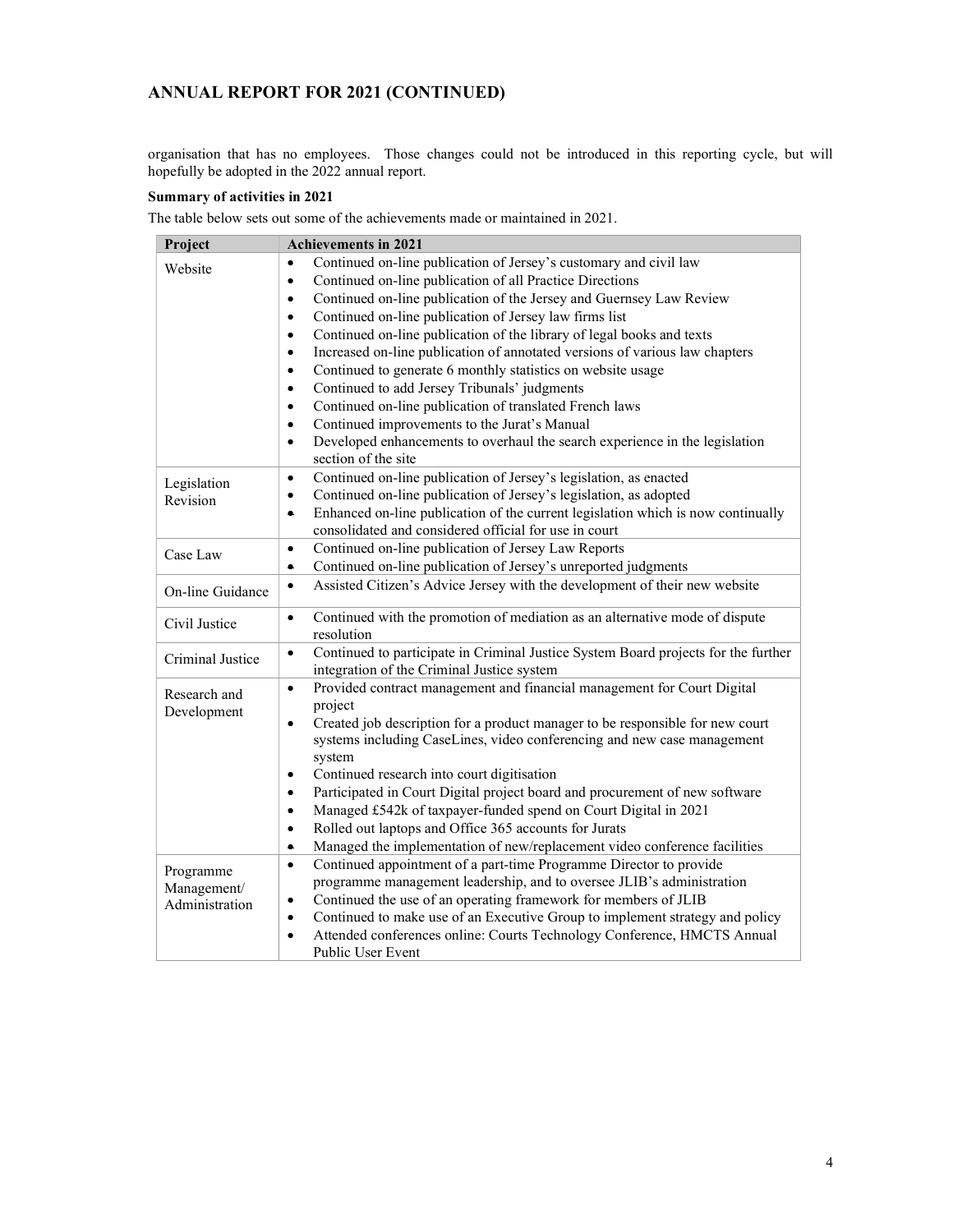# ANNUAL REPORT FOR 2021 (CONTINUED)

organisation that has no employees. Those changes could not be introduced in this reporting cycle, but will hopefully be adopted in the 2022 annual report.

## Summary of activities in 2021

The table below sets out some of the achievements made or maintained in 2021.

| Project          | <b>Achievements in 2021</b>                                                                                                                                                     |
|------------------|---------------------------------------------------------------------------------------------------------------------------------------------------------------------------------|
| Website          | Continued on-line publication of Jersey's customary and civil law<br>$\bullet$                                                                                                  |
|                  | Continued on-line publication of all Practice Directions<br>$\bullet$                                                                                                           |
|                  | Continued on-line publication of the Jersey and Guernsey Law Review<br>$\bullet$                                                                                                |
|                  | Continued on-line publication of Jersey law firms list<br>$\bullet$                                                                                                             |
|                  | Continued on-line publication of the library of legal books and texts<br>$\bullet$                                                                                              |
|                  | Increased on-line publication of annotated versions of various law chapters<br>$\bullet$                                                                                        |
|                  | Continued to generate 6 monthly statistics on website usage<br>$\bullet$                                                                                                        |
|                  | Continued to add Jersey Tribunals' judgments<br>$\bullet$                                                                                                                       |
|                  | Continued on-line publication of translated French laws<br>$\bullet$                                                                                                            |
|                  | Continued improvements to the Jurat's Manual<br>$\bullet$                                                                                                                       |
|                  | Developed enhancements to overhaul the search experience in the legislation<br>$\bullet$<br>section of the site                                                                 |
| Legislation      | Continued on-line publication of Jersey's legislation, as enacted<br>$\bullet$                                                                                                  |
| Revision         | Continued on-line publication of Jersey's legislation, as adopted<br>$\bullet$                                                                                                  |
|                  | Enhanced on-line publication of the current legislation which is now continually<br>$\bullet$                                                                                   |
|                  | consolidated and considered official for use in court                                                                                                                           |
| Case Law         | Continued on-line publication of Jersey Law Reports<br>$\bullet$                                                                                                                |
|                  | Continued on-line publication of Jersey's unreported judgments<br>$\bullet$                                                                                                     |
| On-line Guidance | Assisted Citizen's Advice Jersey with the development of their new website<br>$\bullet$                                                                                         |
| Civil Justice    | Continued with the promotion of mediation as an alternative mode of dispute<br>$\bullet$<br>resolution                                                                          |
| Criminal Justice | Continued to participate in Criminal Justice System Board projects for the further<br>$\bullet$<br>integration of the Criminal Justice system                                   |
| Research and     | Provided contract management and financial management for Court Digital<br>$\bullet$<br>project                                                                                 |
| Development      | Created job description for a product manager to be responsible for new court<br>$\bullet$<br>systems including CaseLines, video conferencing and new case management<br>system |
|                  | Continued research into court digitisation<br>$\bullet$                                                                                                                         |
|                  | Participated in Court Digital project board and procurement of new software<br>$\bullet$                                                                                        |
|                  | Managed £542k of taxpayer-funded spend on Court Digital in 2021<br>$\bullet$                                                                                                    |
|                  | Rolled out laptops and Office 365 accounts for Jurats<br>$\bullet$                                                                                                              |
|                  | Managed the implementation of new/replacement video conference facilities<br>٠                                                                                                  |
| Programme        | Continued appointment of a part-time Programme Director to provide<br>$\bullet$                                                                                                 |
| Management/      | programme management leadership, and to oversee JLIB's administration                                                                                                           |
| Administration   | Continued the use of an operating framework for members of JLIB<br>$\bullet$                                                                                                    |
|                  | Continued to make use of an Executive Group to implement strategy and policy<br>$\bullet$                                                                                       |
|                  | Attended conferences online: Courts Technology Conference, HMCTS Annual<br>$\bullet$<br>Public User Event                                                                       |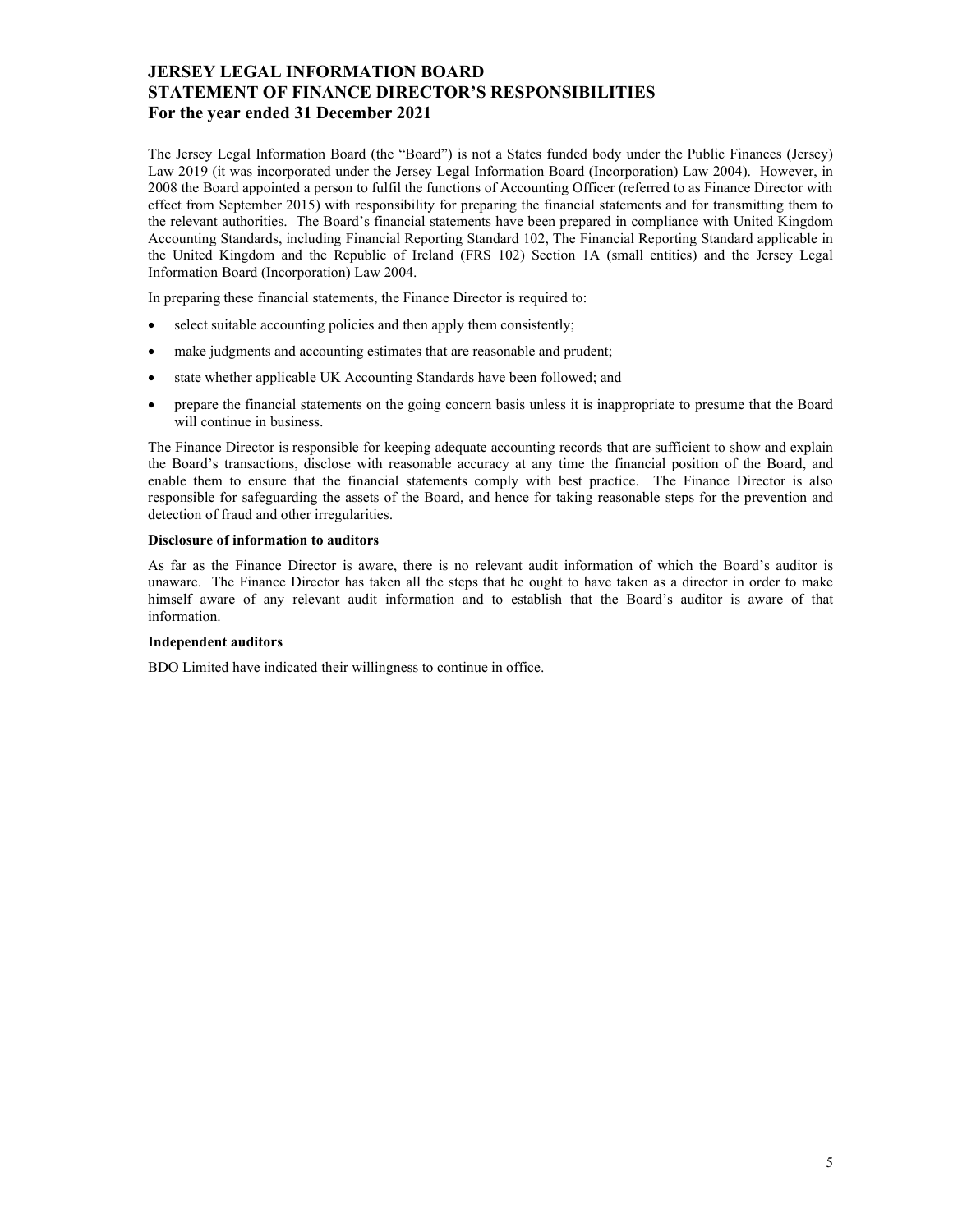## JERSEY LEGAL INFORMATION BOARD STATEMENT OF FINANCE DIRECTOR'S RESPONSIBILITIES For the year ended 31 December 2021

The Jersey Legal Information Board (the "Board") is not a States funded body under the Public Finances (Jersey) Law 2019 (it was incorporated under the Jersey Legal Information Board (Incorporation) Law 2004). However, in 2008 the Board appointed a person to fulfil the functions of Accounting Officer (referred to as Finance Director with effect from September 2015) with responsibility for preparing the financial statements and for transmitting them to the relevant authorities. The Board's financial statements have been prepared in compliance with United Kingdom Accounting Standards, including Financial Reporting Standard 102, The Financial Reporting Standard applicable in the United Kingdom and the Republic of Ireland (FRS 102) Section 1A (small entities) and the Jersey Legal Information Board (Incorporation) Law 2004.

In preparing these financial statements, the Finance Director is required to:

- select suitable accounting policies and then apply them consistently;
- make judgments and accounting estimates that are reasonable and prudent;
- state whether applicable UK Accounting Standards have been followed; and
- prepare the financial statements on the going concern basis unless it is inappropriate to presume that the Board will continue in business.

The Finance Director is responsible for keeping adequate accounting records that are sufficient to show and explain the Board's transactions, disclose with reasonable accuracy at any time the financial position of the Board, and enable them to ensure that the financial statements comply with best practice. The Finance Director is also responsible for safeguarding the assets of the Board, and hence for taking reasonable steps for the prevention and detection of fraud and other irregularities.

#### Disclosure of information to auditors

As far as the Finance Director is aware, there is no relevant audit information of which the Board's auditor is unaware. The Finance Director has taken all the steps that he ought to have taken as a director in order to make himself aware of any relevant audit information and to establish that the Board's auditor is aware of that information.

### Independent auditors

BDO Limited have indicated their willingness to continue in office.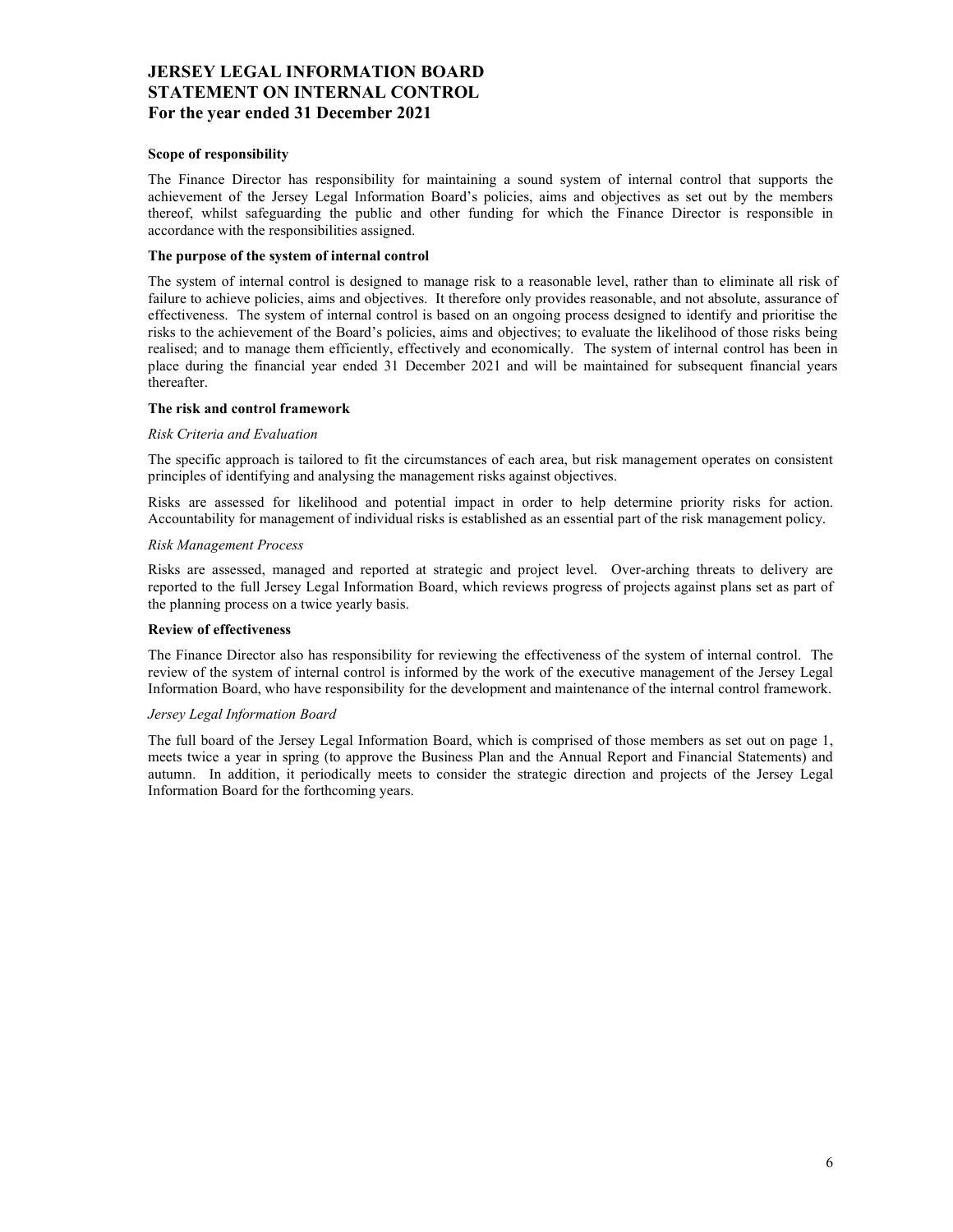## JERSEY LEGAL INFORMATION BOARD STATEMENT ON INTERNAL CONTROL For the year ended 31 December 2021

### Scope of responsibility

The Finance Director has responsibility for maintaining a sound system of internal control that supports the achievement of the Jersey Legal Information Board's policies, aims and objectives as set out by the members thereof, whilst safeguarding the public and other funding for which the Finance Director is responsible in accordance with the responsibilities assigned.

#### The purpose of the system of internal control

The system of internal control is designed to manage risk to a reasonable level, rather than to eliminate all risk of failure to achieve policies, aims and objectives. It therefore only provides reasonable, and not absolute, assurance of effectiveness. The system of internal control is based on an ongoing process designed to identify and prioritise the risks to the achievement of the Board's policies, aims and objectives; to evaluate the likelihood of those risks being realised; and to manage them efficiently, effectively and economically. The system of internal control has been in place during the financial year ended 31 December 2021 and will be maintained for subsequent financial years thereafter.

#### The risk and control framework

#### Risk Criteria and Evaluation

The specific approach is tailored to fit the circumstances of each area, but risk management operates on consistent principles of identifying and analysing the management risks against objectives.

Risks are assessed for likelihood and potential impact in order to help determine priority risks for action. Accountability for management of individual risks is established as an essential part of the risk management policy.

#### Risk Management Process

Risks are assessed, managed and reported at strategic and project level. Over-arching threats to delivery are reported to the full Jersey Legal Information Board, which reviews progress of projects against plans set as part of the planning process on a twice yearly basis.

### Review of effectiveness

The Finance Director also has responsibility for reviewing the effectiveness of the system of internal control. The review of the system of internal control is informed by the work of the executive management of the Jersey Legal Information Board, who have responsibility for the development and maintenance of the internal control framework.

### Jersey Legal Information Board

The full board of the Jersey Legal Information Board, which is comprised of those members as set out on page 1, meets twice a year in spring (to approve the Business Plan and the Annual Report and Financial Statements) and autumn. In addition, it periodically meets to consider the strategic direction and projects of the Jersey Legal Information Board for the forthcoming years.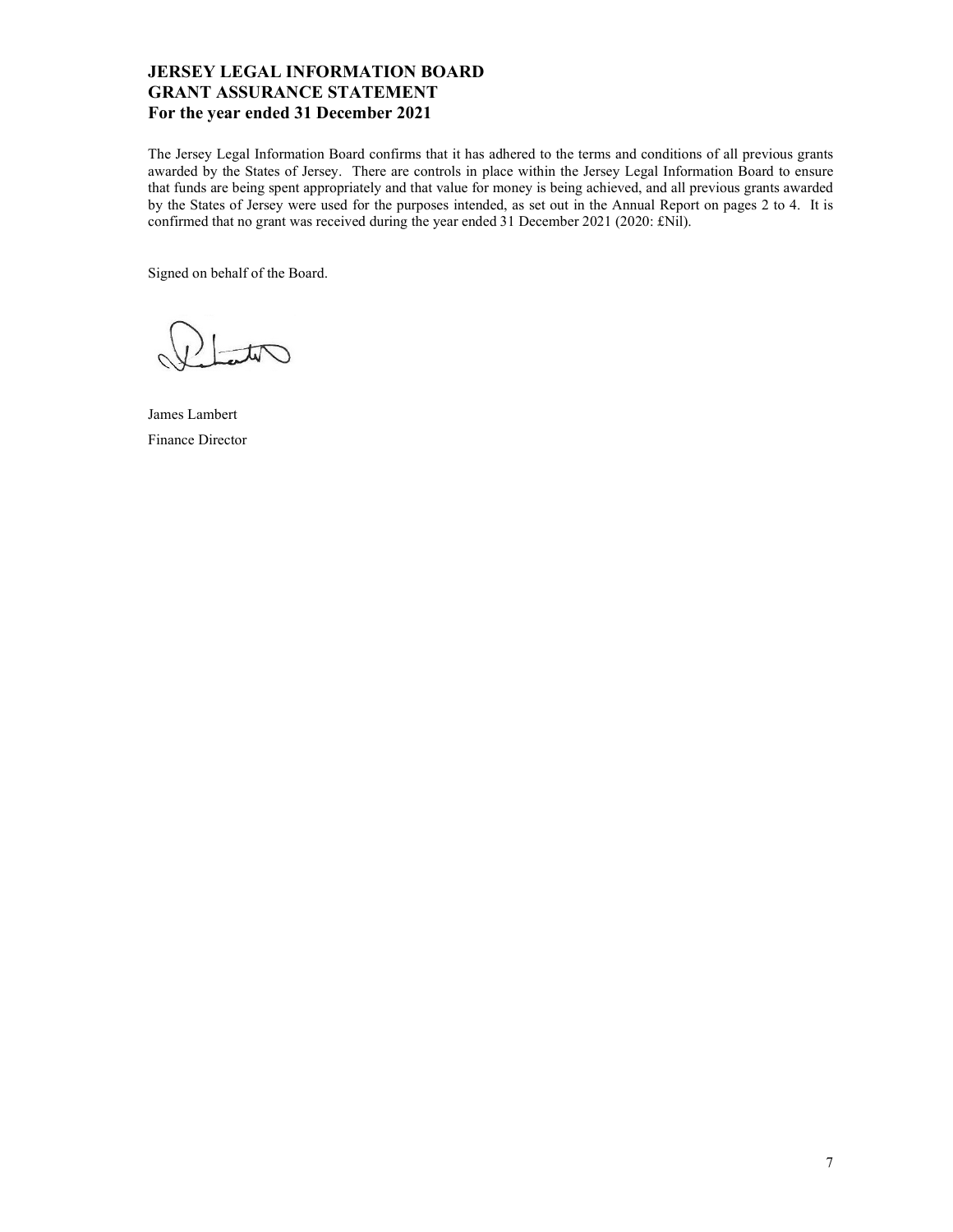## JERSEY LEGAL INFORMATION BOARD GRANT ASSURANCE STATEMENT For the year ended 31 December 2021

The Jersey Legal Information Board confirms that it has adhered to the terms and conditions of all previous grants awarded by the States of Jersey. There are controls in place within the Jersey Legal Information Board to ensure that funds are being spent appropriately and that value for money is being achieved, and all previous grants awarded by the States of Jersey were used for the purposes intended, as set out in the Annual Report on pages 2 to 4. It is confirmed that no grant was received during the year ended 31 December 2021 (2020: £Nil).

Signed on behalf of the Board.

James Lambert Finance Director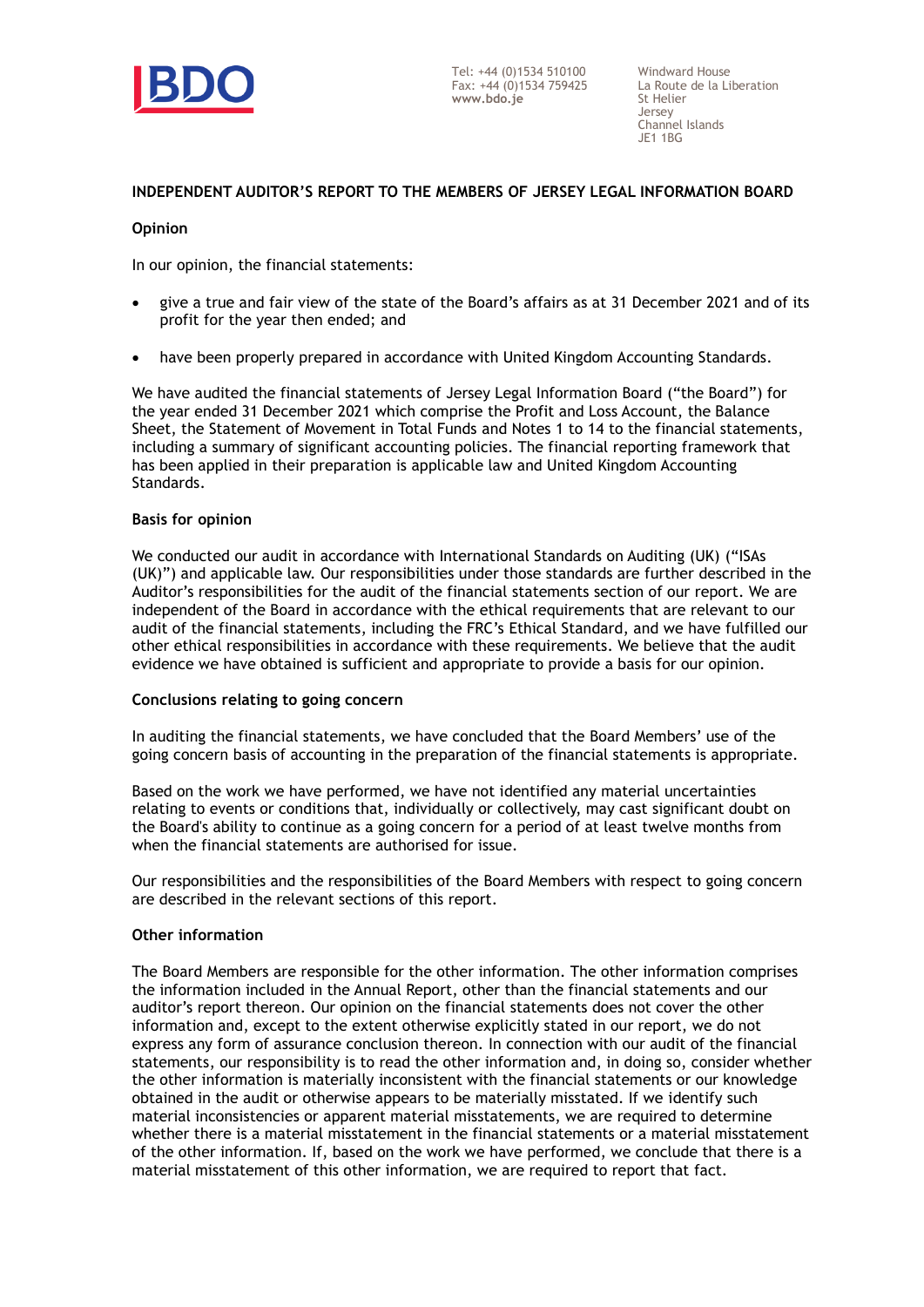

## **INDEPENDENT AUDITOR'S REPORT TO THE MEMBERS OF JERSEY LEGAL INFORMATION BOARD**

## **Opinion**

In our opinion, the financial statements:

- give a true and fair view of the state of the Board's affairs as at 31 December 2021 and of its profit for the year then ended; and
- have been properly prepared in accordance with United Kingdom Accounting Standards.

We have audited the financial statements of Jersey Legal Information Board ("the Board") for the year ended 31 December 2021 which comprise the Profit and Loss Account, the Balance Sheet, the Statement of Movement in Total Funds and Notes 1 to 14 to the financial statements, including a summary of significant accounting policies. The financial reporting framework that has been applied in their preparation is applicable law and United Kingdom Accounting Standards.

## **Basis for opinion**

We conducted our audit in accordance with International Standards on Auditing (UK) ("ISAs (UK)") and applicable law. Our responsibilities under those standards are further described in the Auditor's responsibilities for the audit of the financial statements section of our report. We are independent of the Board in accordance with the ethical requirements that are relevant to our audit of the financial statements, including the FRC's Ethical Standard, and we have fulfilled our other ethical responsibilities in accordance with these requirements. We believe that the audit evidence we have obtained is sufficient and appropriate to provide a basis for our opinion.

## **Conclusions relating to going concern**

In auditing the financial statements, we have concluded that the Board Members' use of the going concern basis of accounting in the preparation of the financial statements is appropriate.

Based on the work we have performed, we have not identified any material uncertainties relating to events or conditions that, individually or collectively, may cast significant doubt on the Board's ability to continue as a going concern for a period of at least twelve months from when the financial statements are authorised for issue.

Our responsibilities and the responsibilities of the Board Members with respect to going concern are described in the relevant sections of this report.

## **Other information**

The Board Members are responsible for the other information. The other information comprises the information included in the Annual Report, other than the financial statements and our auditor's report thereon. Our opinion on the financial statements does not cover the other information and, except to the extent otherwise explicitly stated in our report, we do not express any form of assurance conclusion thereon. In connection with our audit of the financial statements, our responsibility is to read the other information and, in doing so, consider whether the other information is materially inconsistent with the financial statements or our knowledge obtained in the audit or otherwise appears to be materially misstated. If we identify such material inconsistencies or apparent material misstatements, we are required to determine whether there is a material misstatement in the financial statements or a material misstatement of the other information. If, based on the work we have performed, we conclude that there is a material misstatement of this other information, we are required to report that fact.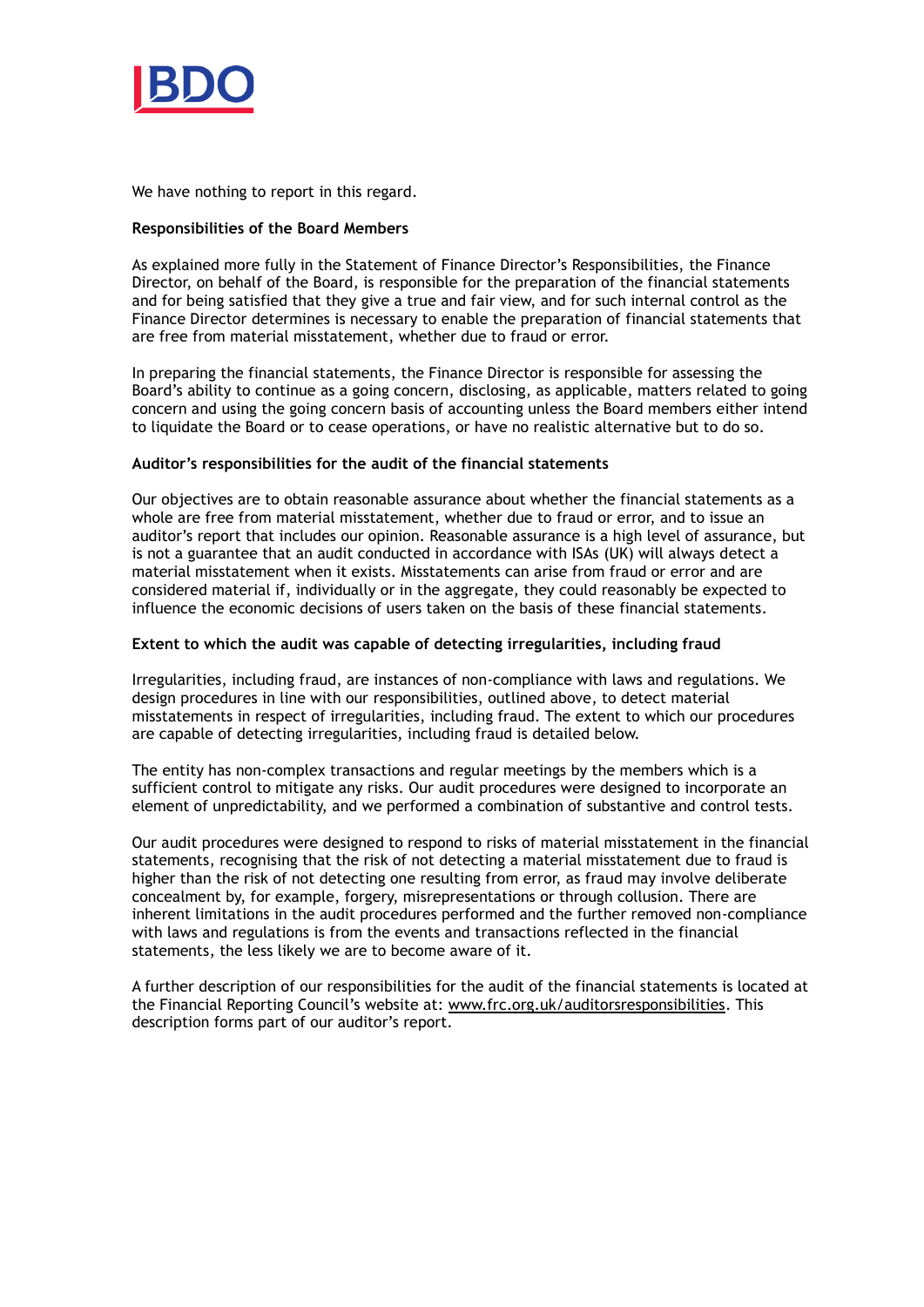

We have nothing to report in this regard.

## **Responsibilities of the Board Members**

As explained more fully in the Statement of Finance Director's Responsibilities, the Finance Director, on behalf of the Board, is responsible for the preparation of the financial statements and for being satisfied that they give a true and fair view, and for such internal control as the Finance Director determines is necessary to enable the preparation of financial statements that are free from material misstatement, whether due to fraud or error.

In preparing the financial statements, the Finance Director is responsible for assessing the Board's ability to continue as a going concern, disclosing, as applicable, matters related to going concern and using the going concern basis of accounting unless the Board members either intend to liquidate the Board or to cease operations, or have no realistic alternative but to do so.

## **Auditor's responsibilities for the audit of the financial statements**

Our objectives are to obtain reasonable assurance about whether the financial statements as a whole are free from material misstatement, whether due to fraud or error, and to issue an auditor's report that includes our opinion. Reasonable assurance is a high level of assurance, but is not a guarantee that an audit conducted in accordance with ISAs (UK) will always detect a material misstatement when it exists. Misstatements can arise from fraud or error and are considered material if, individually or in the aggregate, they could reasonably be expected to influence the economic decisions of users taken on the basis of these financial statements.

## **Extent to which the audit was capable of detecting irregularities, including fraud**

Irregularities, including fraud, are instances of non-compliance with laws and regulations. We design procedures in line with our responsibilities, outlined above, to detect material misstatements in respect of irregularities, including fraud. The extent to which our procedures are capable of detecting irregularities, including fraud is detailed below.

The entity has non-complex transactions and regular meetings by the members which is a sufficient control to mitigate any risks. Our audit procedures were designed to incorporate an element of unpredictability, and we performed a combination of substantive and control tests.

Our audit procedures were designed to respond to risks of material misstatement in the financial statements, recognising that the risk of not detecting a material misstatement due to fraud is higher than the risk of not detecting one resulting from error, as fraud may involve deliberate concealment by, for example, forgery, misrepresentations or through collusion. There are inherent limitations in the audit procedures performed and the further removed non-compliance with laws and regulations is from the events and transactions reflected in the financial statements, the less likely we are to become aware of it.

A further description of our responsibilities for the audit of the financial statements is located at the Financial Reporting Council's website at: [www.frc.org.uk/auditorsresponsibilities.](http://www.frc.org.uk/auditorsresponsibilities) This description forms part of our auditor's report.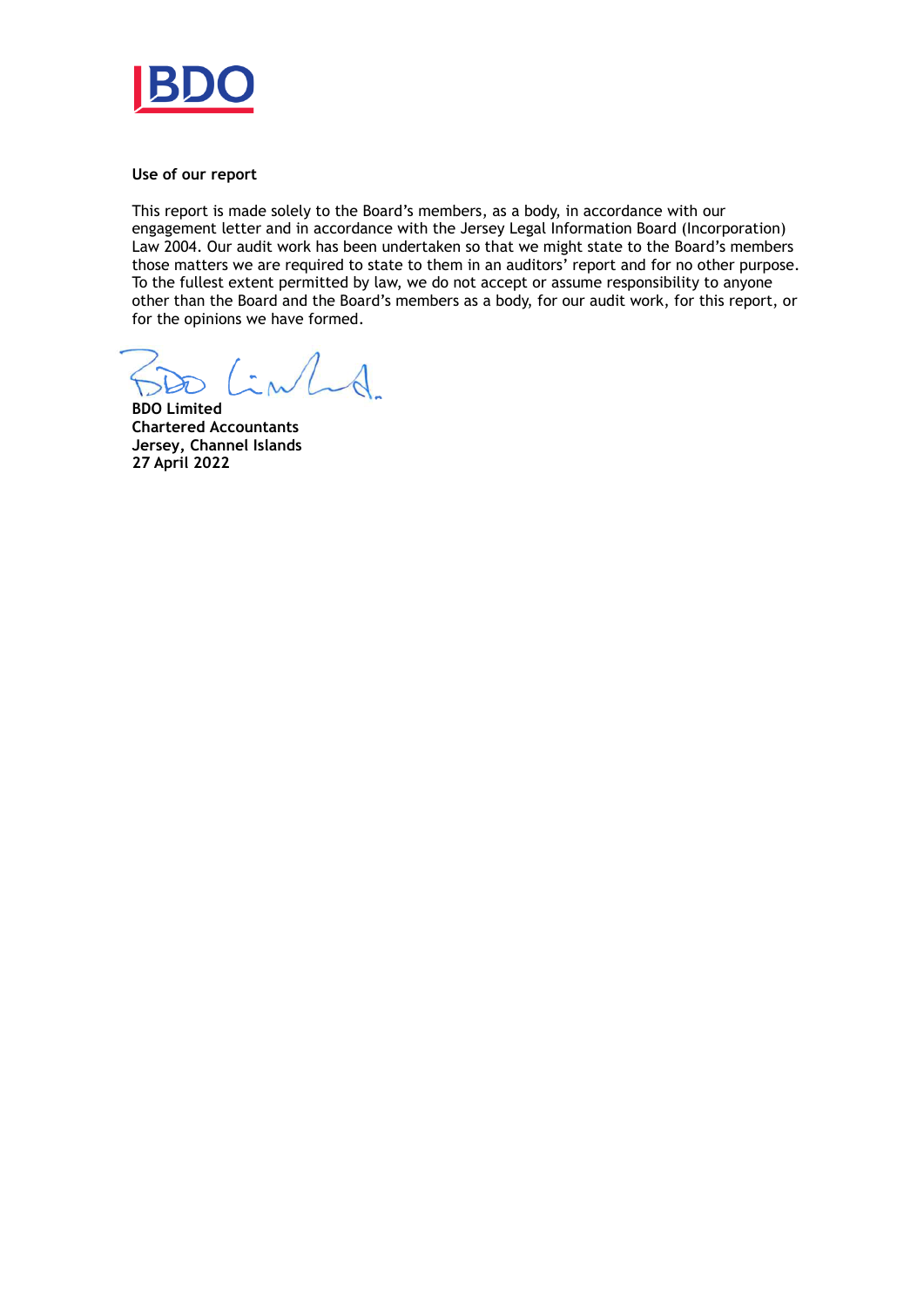

### **Use of our report**

This report is made solely to the Board's members, as a body, in accordance with our engagement letter and in accordance with the Jersey Legal Information Board (Incorporation) Law 2004. Our audit work has been undertaken so that we might state to the Board's members those matters we are required to state to them in an auditors' report and for no other purpose. To the fullest extent permitted by law, we do not accept or assume responsibility to anyone other than the Board and the Board's members as a body, for our audit work, for this report, or for the opinions we have formed.

 $\int$  in  $\int$ 

**BDO Limited Chartered Accountants Jersey, Channel Islands 27 April 2022**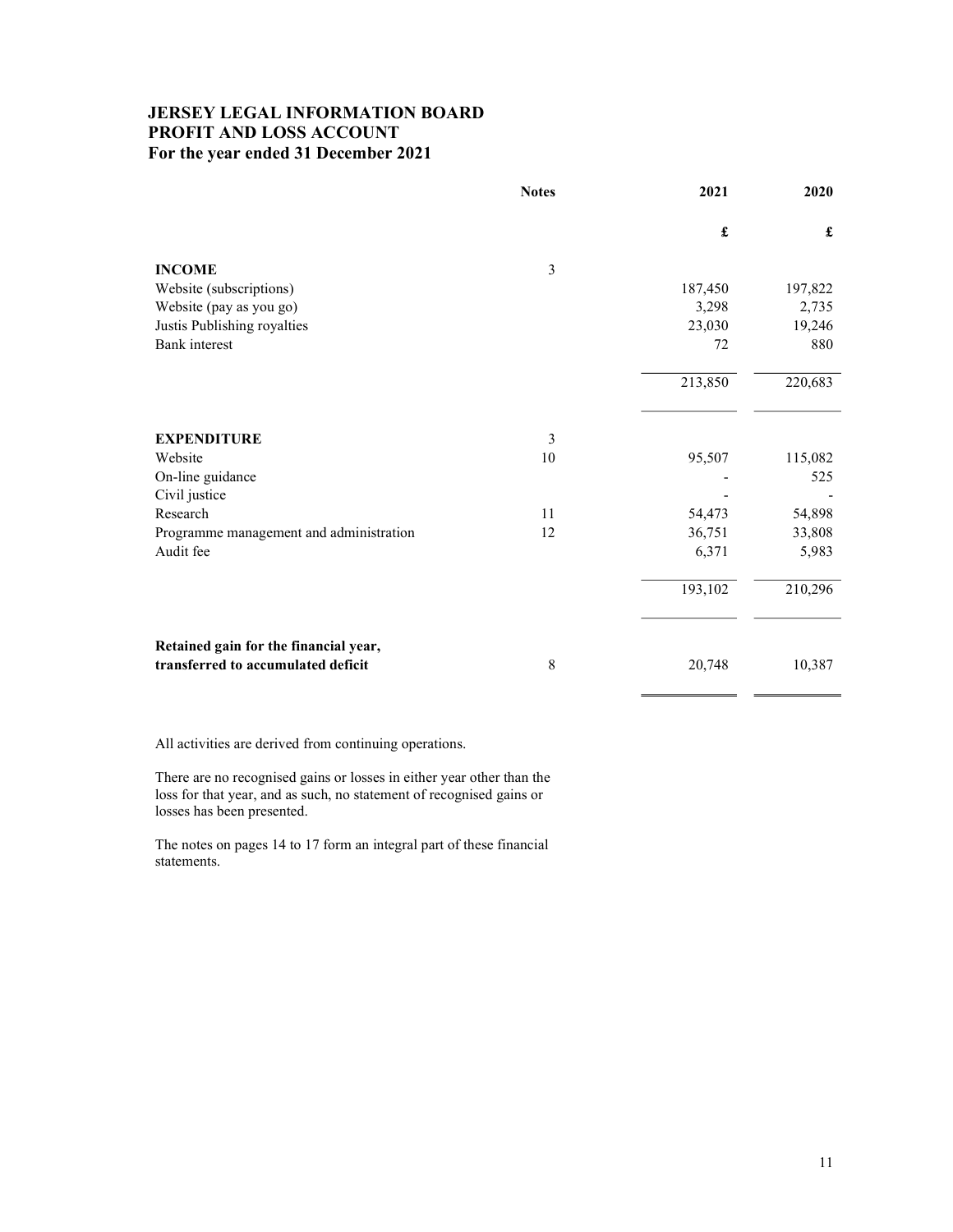## JERSEY LEGAL INFORMATION BOARD PROFIT AND LOSS ACCOUNT For the year ended 31 December 2021

|                                         | <b>Notes</b>   | 2021                 | 2020    |
|-----------------------------------------|----------------|----------------------|---------|
|                                         |                | $\pmb{\mathfrak{L}}$ | £       |
| <b>INCOME</b>                           | 3              |                      |         |
| Website (subscriptions)                 |                | 187,450              | 197,822 |
| Website (pay as you go)                 |                | 3,298                | 2,735   |
| Justis Publishing royalties             |                | 23,030               | 19,246  |
| <b>Bank</b> interest                    |                | 72                   | 880     |
|                                         |                | 213,850              | 220,683 |
| <b>EXPENDITURE</b>                      | $\mathfrak{Z}$ |                      |         |
| Website                                 | 10             | 95,507               | 115,082 |
| On-line guidance                        |                |                      | 525     |
| Civil justice                           |                |                      |         |
| Research                                | 11             | 54,473               | 54,898  |
| Programme management and administration | 12             | 36,751               | 33,808  |
| Audit fee                               |                | 6,371                | 5,983   |
|                                         |                | 193,102              | 210,296 |
| Retained gain for the financial year,   |                |                      |         |
| transferred to accumulated deficit      | 8              | 20,748               | 10,387  |

All activities are derived from continuing operations.

There are no recognised gains or losses in either year other than the loss for that year, and as such, no statement of recognised gains or losses has been presented.

The notes on pages 14 to 17 form an integral part of these financial statements.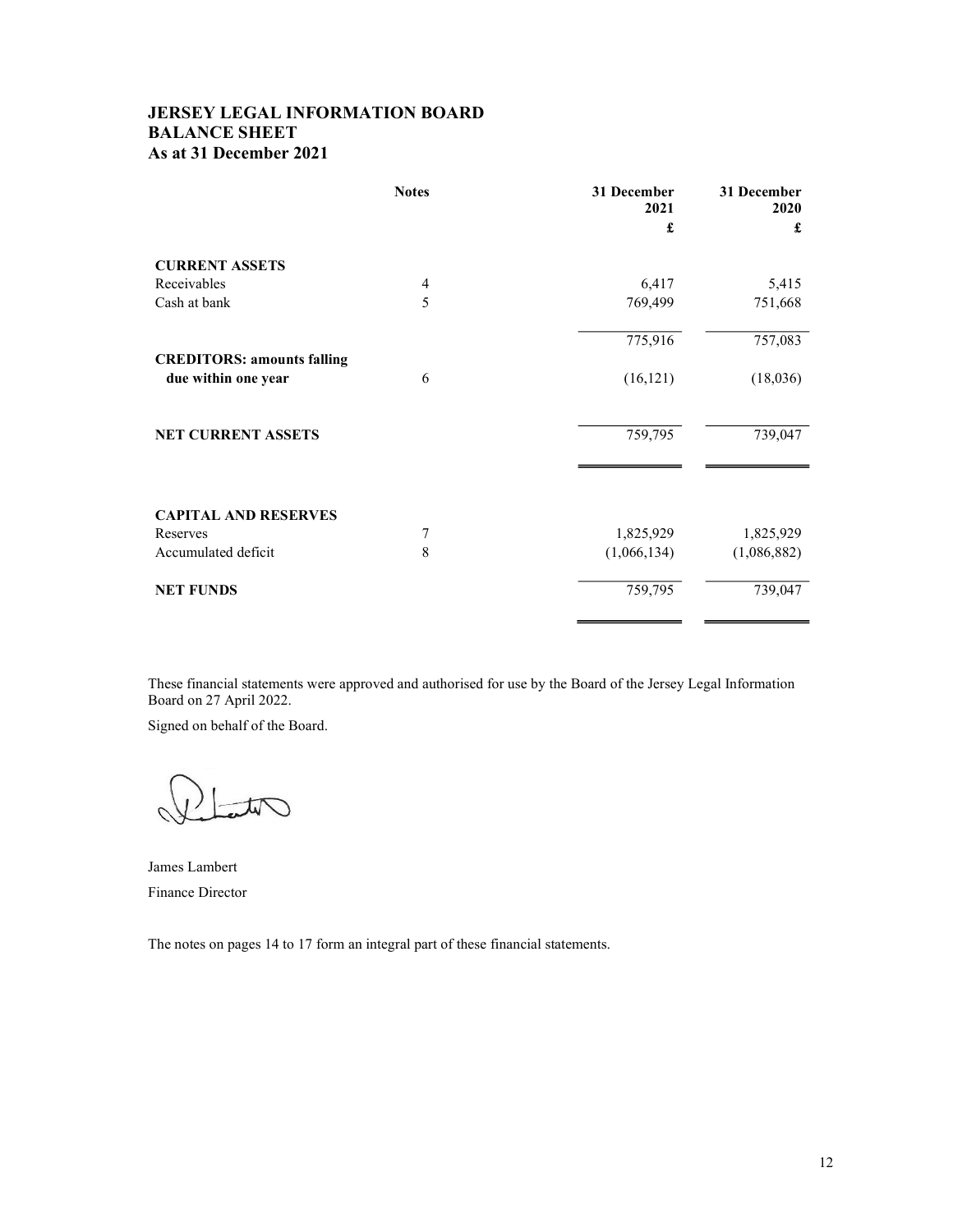## JERSEY LEGAL INFORMATION BOARD BALANCE SHEET As at 31 December 2021

|                                                          | <b>Notes</b>   | 31 December<br>2021 | 31 December<br>2020 |
|----------------------------------------------------------|----------------|---------------------|---------------------|
|                                                          |                | £                   | £                   |
| <b>CURRENT ASSETS</b>                                    |                |                     |                     |
| Receivables                                              | $\overline{4}$ | 6,417               | 5,415               |
| Cash at bank                                             | 5              | 769,499             | 751,668             |
|                                                          |                | 775,916             | 757,083             |
| <b>CREDITORS: amounts falling</b><br>due within one year | 6              | (16, 121)           | (18,036)            |
| <b>NET CURRENT ASSETS</b>                                |                | 759,795             | 739,047             |
| <b>CAPITAL AND RESERVES</b>                              |                |                     |                     |
| Reserves                                                 | 7              | 1,825,929           | 1,825,929           |
| Accumulated deficit                                      | 8              | (1,066,134)         | (1,086,882)         |
| <b>NET FUNDS</b>                                         |                | 759,795             | 739,047             |
|                                                          |                |                     |                     |

These financial statements were approved and authorised for use by the Board of the Jersey Legal Information Board on 27 April 2022.

Signed on behalf of the Board.

Tut

James Lambert Finance Director

The notes on pages 14 to 17 form an integral part of these financial statements.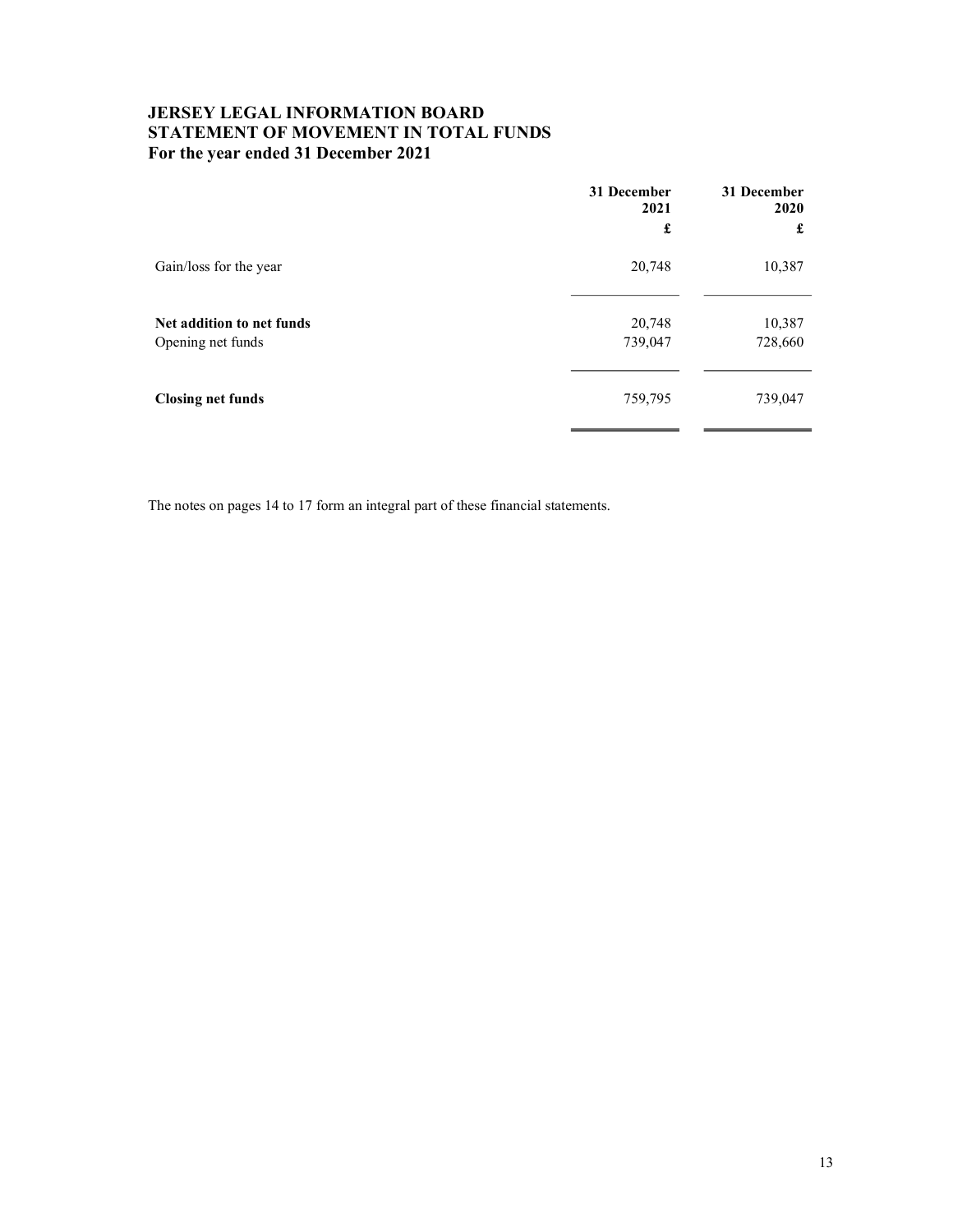## JERSEY LEGAL INFORMATION BOARD STATEMENT OF MOVEMENT IN TOTAL FUNDS For the year ended 31 December 2021

|                                                | 31 December<br>2021 | 31 December<br>2020 |
|------------------------------------------------|---------------------|---------------------|
|                                                | £                   | £                   |
| Gain/loss for the year                         | 20,748              | 10,387              |
| Net addition to net funds<br>Opening net funds | 20,748<br>739,047   | 10,387<br>728,660   |
| <b>Closing net funds</b>                       | 759,795             | 739,047             |

The notes on pages 14 to 17 form an integral part of these financial statements.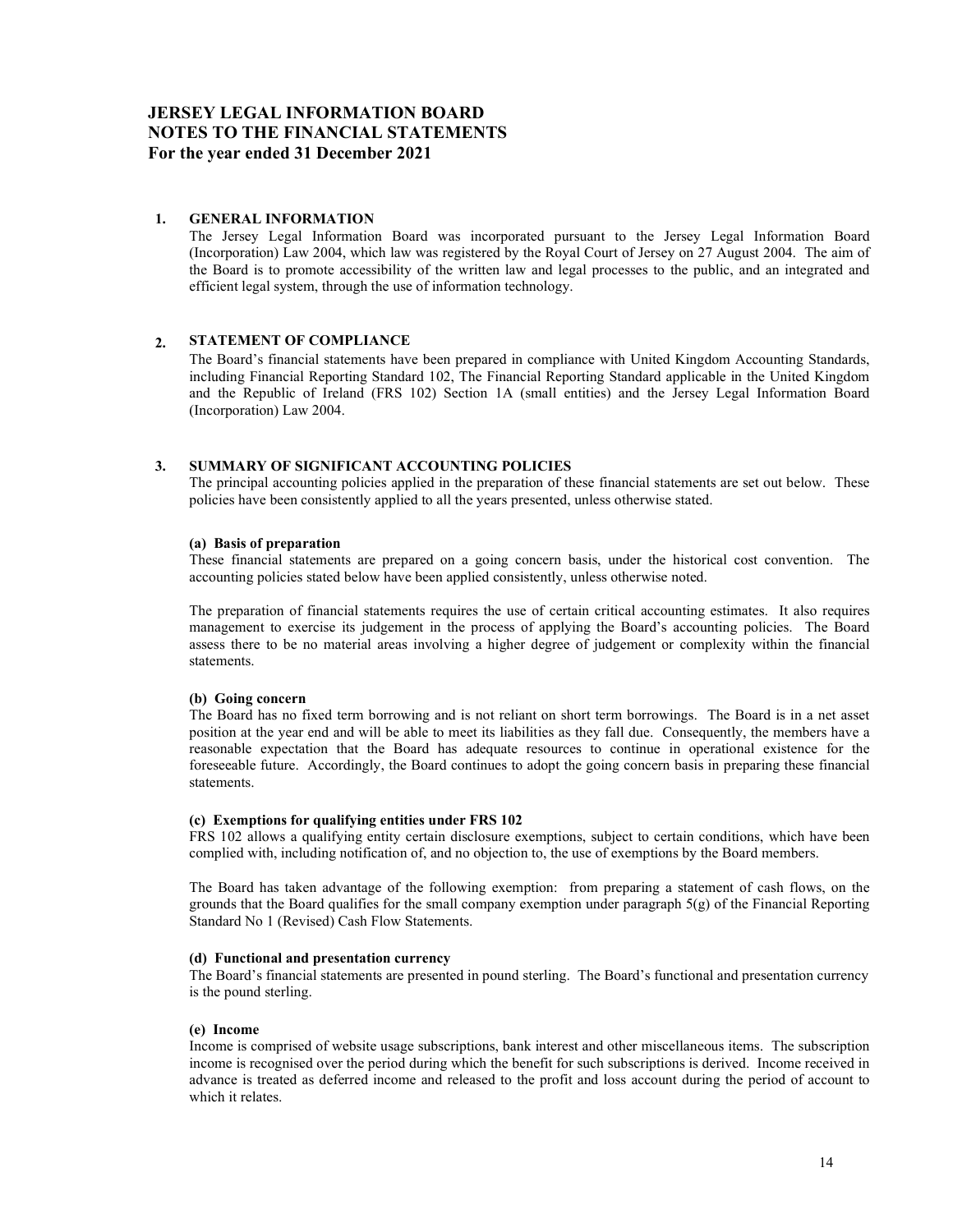## JERSEY LEGAL INFORMATION BOARD NOTES TO THE FINANCIAL STATEMENTS For the year ended 31 December 2021

### 1. GENERAL INFORMATION

The Jersey Legal Information Board was incorporated pursuant to the Jersey Legal Information Board (Incorporation) Law 2004, which law was registered by the Royal Court of Jersey on 27 August 2004. The aim of the Board is to promote accessibility of the written law and legal processes to the public, and an integrated and efficient legal system, through the use of information technology.

### 2. STATEMENT OF COMPLIANCE

The Board's financial statements have been prepared in compliance with United Kingdom Accounting Standards, including Financial Reporting Standard 102, The Financial Reporting Standard applicable in the United Kingdom and the Republic of Ireland (FRS 102) Section 1A (small entities) and the Jersey Legal Information Board (Incorporation) Law 2004.

### 3. SUMMARY OF SIGNIFICANT ACCOUNTING POLICIES

The principal accounting policies applied in the preparation of these financial statements are set out below. These policies have been consistently applied to all the years presented, unless otherwise stated.

### (a) Basis of preparation

These financial statements are prepared on a going concern basis, under the historical cost convention. The accounting policies stated below have been applied consistently, unless otherwise noted.

The preparation of financial statements requires the use of certain critical accounting estimates. It also requires management to exercise its judgement in the process of applying the Board's accounting policies. The Board assess there to be no material areas involving a higher degree of judgement or complexity within the financial statements.

### (b) Going concern

The Board has no fixed term borrowing and is not reliant on short term borrowings. The Board is in a net asset position at the year end and will be able to meet its liabilities as they fall due. Consequently, the members have a reasonable expectation that the Board has adequate resources to continue in operational existence for the foreseeable future. Accordingly, the Board continues to adopt the going concern basis in preparing these financial statements.

### (c) Exemptions for qualifying entities under FRS 102

FRS 102 allows a qualifying entity certain disclosure exemptions, subject to certain conditions, which have been complied with, including notification of, and no objection to, the use of exemptions by the Board members.

The Board has taken advantage of the following exemption: from preparing a statement of cash flows, on the grounds that the Board qualifies for the small company exemption under paragraph  $5(g)$  of the Financial Reporting Standard No 1 (Revised) Cash Flow Statements.

### (d) Functional and presentation currency

The Board's financial statements are presented in pound sterling. The Board's functional and presentation currency is the pound sterling.

### (e) Income

Income is comprised of website usage subscriptions, bank interest and other miscellaneous items. The subscription income is recognised over the period during which the benefit for such subscriptions is derived. Income received in advance is treated as deferred income and released to the profit and loss account during the period of account to which it relates.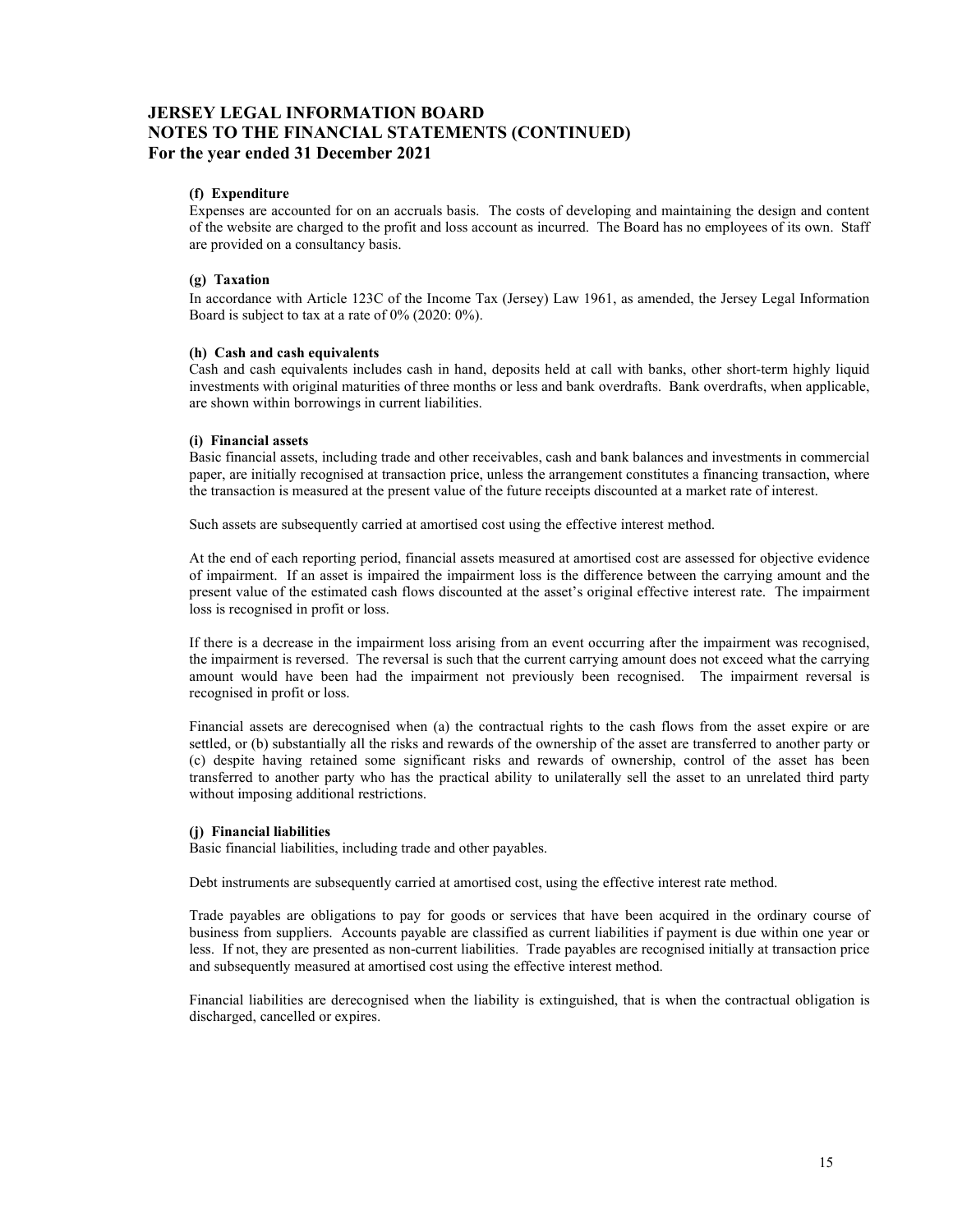## JERSEY LEGAL INFORMATION BOARD NOTES TO THE FINANCIAL STATEMENTS (CONTINUED) For the year ended 31 December 2021

### (f) Expenditure

Expenses are accounted for on an accruals basis. The costs of developing and maintaining the design and content of the website are charged to the profit and loss account as incurred. The Board has no employees of its own. Staff are provided on a consultancy basis.

### (g) Taxation

In accordance with Article 123C of the Income Tax (Jersey) Law 1961, as amended, the Jersey Legal Information Board is subject to tax at a rate of 0% (2020: 0%).

#### (h) Cash and cash equivalents

Cash and cash equivalents includes cash in hand, deposits held at call with banks, other short-term highly liquid investments with original maturities of three months or less and bank overdrafts. Bank overdrafts, when applicable, are shown within borrowings in current liabilities.

### (i) Financial assets

Basic financial assets, including trade and other receivables, cash and bank balances and investments in commercial paper, are initially recognised at transaction price, unless the arrangement constitutes a financing transaction, where the transaction is measured at the present value of the future receipts discounted at a market rate of interest.

Such assets are subsequently carried at amortised cost using the effective interest method.

At the end of each reporting period, financial assets measured at amortised cost are assessed for objective evidence of impairment. If an asset is impaired the impairment loss is the difference between the carrying amount and the present value of the estimated cash flows discounted at the asset's original effective interest rate. The impairment loss is recognised in profit or loss.

If there is a decrease in the impairment loss arising from an event occurring after the impairment was recognised, the impairment is reversed. The reversal is such that the current carrying amount does not exceed what the carrying amount would have been had the impairment not previously been recognised. The impairment reversal is recognised in profit or loss.

Financial assets are derecognised when (a) the contractual rights to the cash flows from the asset expire or are settled, or (b) substantially all the risks and rewards of the ownership of the asset are transferred to another party or (c) despite having retained some significant risks and rewards of ownership, control of the asset has been transferred to another party who has the practical ability to unilaterally sell the asset to an unrelated third party without imposing additional restrictions.

#### (j) Financial liabilities

Basic financial liabilities, including trade and other payables.

Debt instruments are subsequently carried at amortised cost, using the effective interest rate method.

Trade payables are obligations to pay for goods or services that have been acquired in the ordinary course of business from suppliers. Accounts payable are classified as current liabilities if payment is due within one year or less. If not, they are presented as non-current liabilities. Trade payables are recognised initially at transaction price and subsequently measured at amortised cost using the effective interest method.

Financial liabilities are derecognised when the liability is extinguished, that is when the contractual obligation is discharged, cancelled or expires.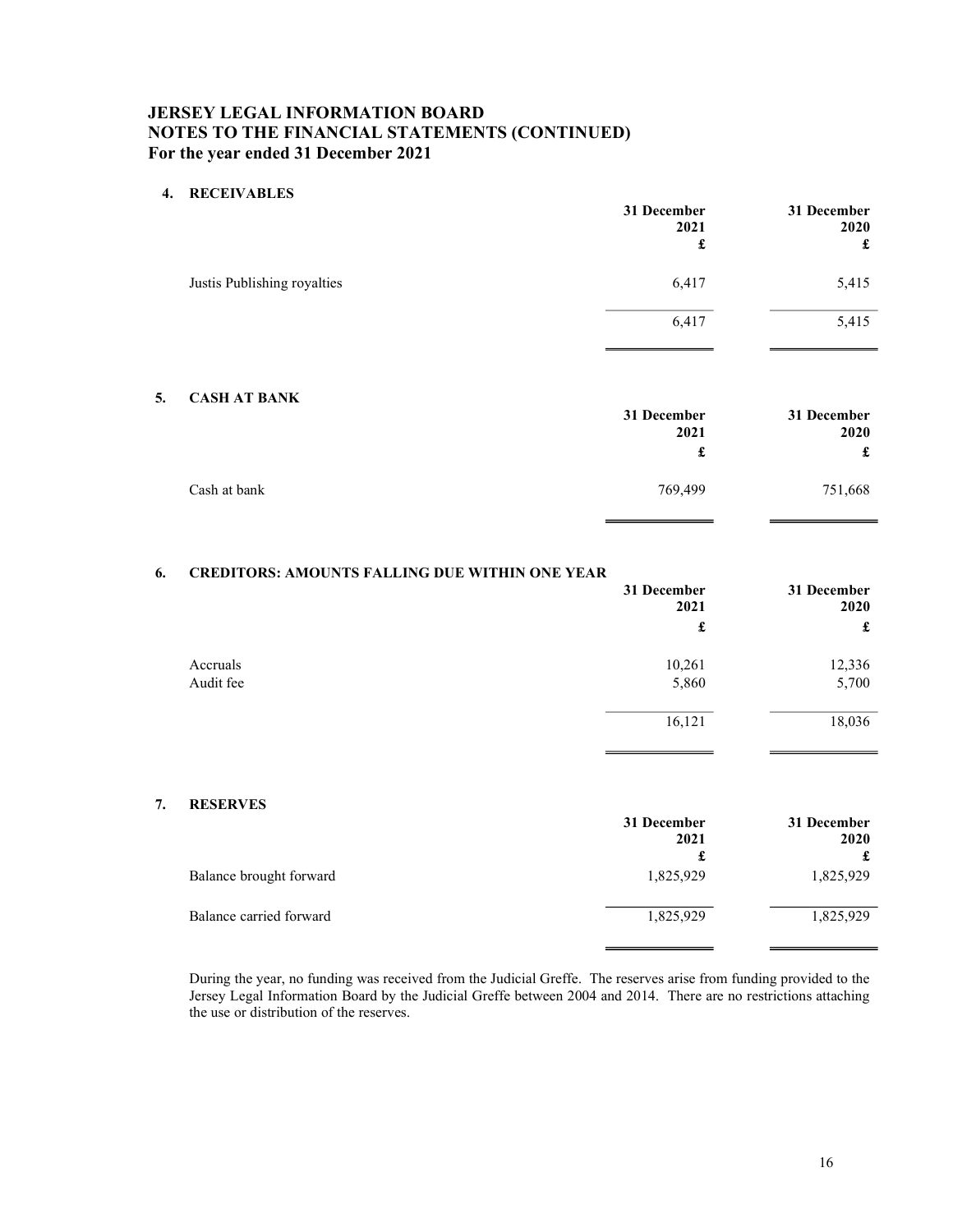## JERSEY LEGAL INFORMATION BOARD NOTES TO THE FINANCIAL STATEMENTS (CONTINUED) For the year ended 31 December 2021

## 4. RECEIVABLES

|                             | 31 December<br>2021<br>£ | 31 December<br>2020<br>£ |
|-----------------------------|--------------------------|--------------------------|
| Justis Publishing royalties | 6,417                    | 5,415                    |
|                             | 6,417                    | 5,415                    |

### 5. CASH AT BANK

|              | 31 December<br>2021 | 31 December<br>2020 |
|--------------|---------------------|---------------------|
|              | £                   | £                   |
| Cash at bank | 769,499             | 751,668             |

## 6. CREDITORS: AMOUNTS FALLING DUE WITHIN ONE YEAR

|           | 31 December<br>2021 | 31 December<br>2020 |
|-----------|---------------------|---------------------|
|           | £                   | £                   |
| Accruals  | 10,261              | 12,336              |
| Audit fee | 5,860               | 5,700               |
|           | 16,121              | 18,036              |

### 7. RESERVES

|                         | 31 December<br>2021 | 31 December<br>2020 |
|-------------------------|---------------------|---------------------|
|                         | £                   |                     |
| Balance brought forward | 1,825,929           | 1,825,929           |
| Balance carried forward | 1,825,929           | 1,825,929           |

During the year, no funding was received from the Judicial Greffe. The reserves arise from funding provided to the Jersey Legal Information Board by the Judicial Greffe between 2004 and 2014. There are no restrictions attaching the use or distribution of the reserves.